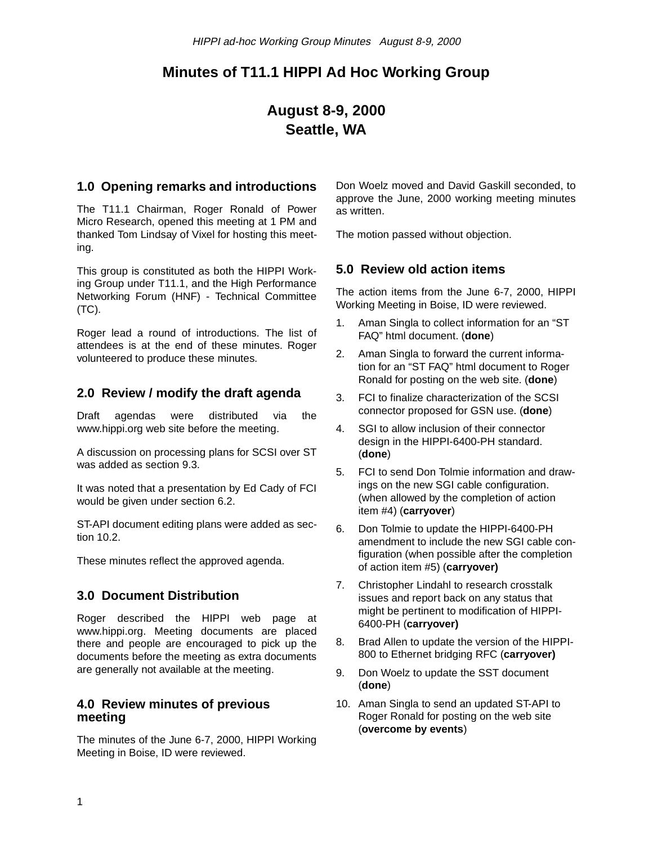# **Minutes of T11.1 HIPPI Ad Hoc Working Group**

# **August 8-9, 2000 Seattle, WA**

### **1.0 Opening remarks and introductions**

The T11.1 Chairman, Roger Ronald of Power Micro Research, opened this meeting at 1 PM and thanked Tom Lindsay of Vixel for hosting this meeting.

This group is constituted as both the HIPPI Working Group under T11.1, and the High Performance Networking Forum (HNF) - Technical Committee (TC).

Roger lead a round of introductions. The list of attendees is at the end of these minutes. Roger volunteered to produce these minutes.

### **2.0 Review / modify the draft agenda**

Draft agendas were distributed via the www.hippi.org web site before the meeting.

A discussion on processing plans for SCSI over ST was added as section 9.3.

It was noted that a presentation by Ed Cady of FCI would be given under section 6.2.

ST-API document editing plans were added as section 10.2.

These minutes reflect the approved agenda.

### **3.0 Document Distribution**

Roger described the HIPPI web page at www.hippi.org. Meeting documents are placed there and people are encouraged to pick up the documents before the meeting as extra documents are generally not available at the meeting.

### **4.0 Review minutes of previous meeting**

The minutes of the June 6-7, 2000, HIPPI Working Meeting in Boise, ID were reviewed.

Don Woelz moved and David Gaskill seconded, to approve the June, 2000 working meeting minutes as written.

The motion passed without objection.

### **5.0 Review old action items**

The action items from the June 6-7, 2000, HIPPI Working Meeting in Boise, ID were reviewed.

- 1. Aman Singla to collect information for an "ST FAQ" html document. (**done**)
- 2. Aman Singla to forward the current information for an "ST FAQ" html document to Roger Ronald for posting on the web site. (**done**)
- 3. FCI to finalize characterization of the SCSI connector proposed for GSN use. (**done**)
- 4. SGI to allow inclusion of their connector design in the HIPPI-6400-PH standard. (**done**)
- 5. FCI to send Don Tolmie information and drawings on the new SGI cable configuration. (when allowed by the completion of action item #4) (**carryover**)
- 6. Don Tolmie to update the HIPPI-6400-PH amendment to include the new SGI cable configuration (when possible after the completion of action item #5) (**carryover)**
- 7. Christopher Lindahl to research crosstalk issues and report back on any status that might be pertinent to modification of HIPPI-6400-PH (**carryover)**
- 8. Brad Allen to update the version of the HIPPI-800 to Ethernet bridging RFC (**carryover)**
- 9. Don Woelz to update the SST document (**done**)
- 10. Aman Singla to send an updated ST-API to Roger Ronald for posting on the web site (**overcome by events**)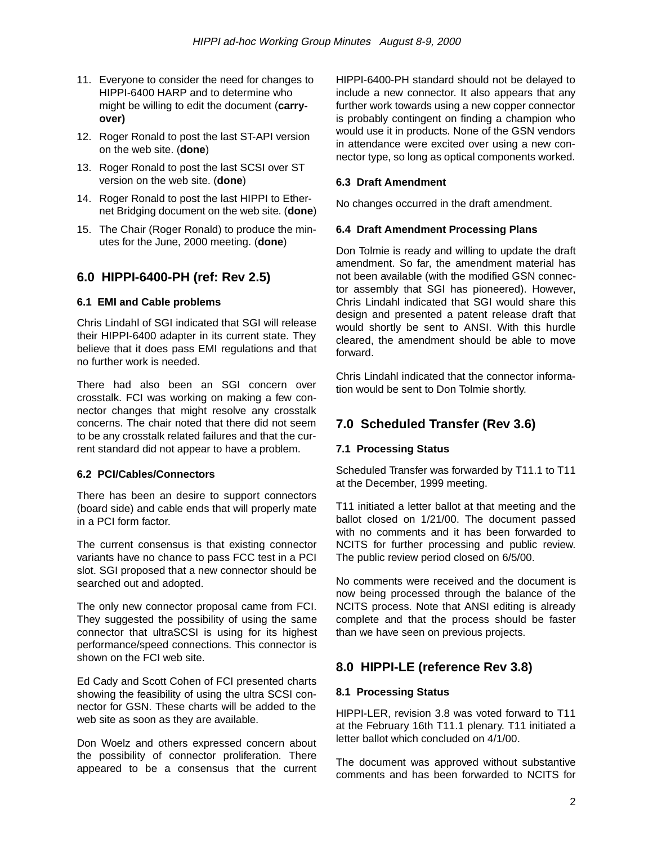- 11. Everyone to consider the need for changes to HIPPI-6400 HARP and to determine who might be willing to edit the document (**carryover)**
- 12. Roger Ronald to post the last ST-API version on the web site. (**done**)
- 13. Roger Ronald to post the last SCSI over ST version on the web site. (**done**)
- 14. Roger Ronald to post the last HIPPI to Ethernet Bridging document on the web site. (**done**)
- 15. The Chair (Roger Ronald) to produce the minutes for the June, 2000 meeting. (**done**)

### **6.0 HIPPI-6400-PH (ref: Rev 2.5)**

### **6.1 EMI and Cable problems**

Chris Lindahl of SGI indicated that SGI will release their HIPPI-6400 adapter in its current state. They believe that it does pass EMI regulations and that no further work is needed.

There had also been an SGI concern over crosstalk. FCI was working on making a few connector changes that might resolve any crosstalk concerns. The chair noted that there did not seem to be any crosstalk related failures and that the current standard did not appear to have a problem.

### **6.2 PCI/Cables/Connectors**

There has been an desire to support connectors (board side) and cable ends that will properly mate in a PCI form factor.

The current consensus is that existing connector variants have no chance to pass FCC test in a PCI slot. SGI proposed that a new connector should be searched out and adopted.

The only new connector proposal came from FCI. They suggested the possibility of using the same connector that ultraSCSI is using for its highest performance/speed connections. This connector is shown on the FCI web site.

Ed Cady and Scott Cohen of FCI presented charts showing the feasibility of using the ultra SCSI connector for GSN. These charts will be added to the web site as soon as they are available.

Don Woelz and others expressed concern about the possibility of connector proliferation. There appeared to be a consensus that the current HIPPI-6400-PH standard should not be delayed to include a new connector. It also appears that any further work towards using a new copper connector is probably contingent on finding a champion who would use it in products. None of the GSN vendors in attendance were excited over using a new connector type, so long as optical components worked.

### **6.3 Draft Amendment**

No changes occurred in the draft amendment.

### **6.4 Draft Amendment Processing Plans**

Don Tolmie is ready and willing to update the draft amendment. So far, the amendment material has not been available (with the modified GSN connector assembly that SGI has pioneered). However, Chris Lindahl indicated that SGI would share this design and presented a patent release draft that would shortly be sent to ANSI. With this hurdle cleared, the amendment should be able to move forward.

Chris Lindahl indicated that the connector information would be sent to Don Tolmie shortly.

# **7.0 Scheduled Transfer (Rev 3.6)**

### **7.1 Processing Status**

Scheduled Transfer was forwarded by T11.1 to T11 at the December, 1999 meeting.

T11 initiated a letter ballot at that meeting and the ballot closed on 1/21/00. The document passed with no comments and it has been forwarded to NCITS for further processing and public review. The public review period closed on 6/5/00.

No comments were received and the document is now being processed through the balance of the NCITS process. Note that ANSI editing is already complete and that the process should be faster than we have seen on previous projects.

# **8.0 HIPPI-LE (reference Rev 3.8)**

### **8.1 Processing Status**

HIPPI-LER, revision 3.8 was voted forward to T11 at the February 16th T11.1 plenary. T11 initiated a letter ballot which concluded on 4/1/00.

The document was approved without substantive comments and has been forwarded to NCITS for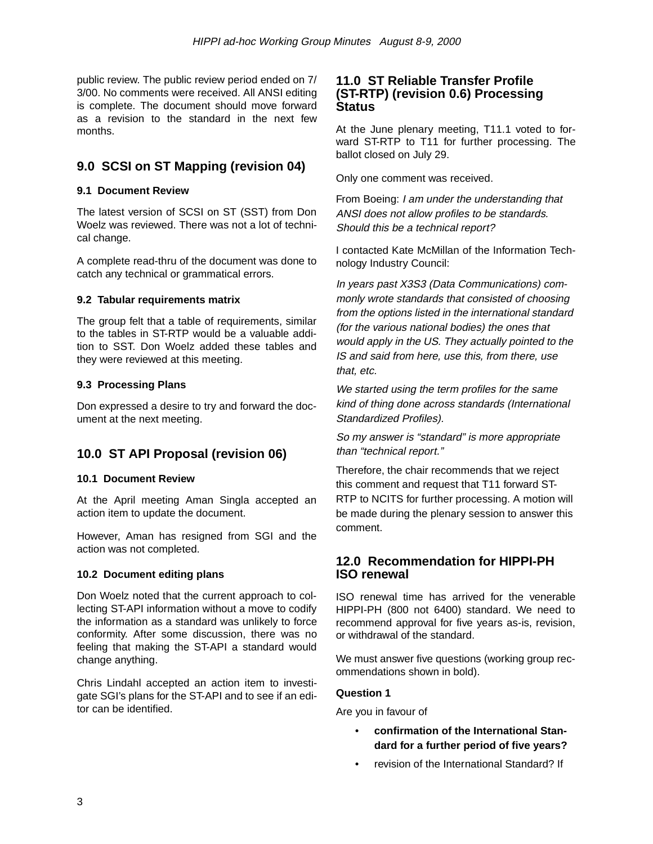public review. The public review period ended on 7/ 3/00. No comments were received. All ANSI editing is complete. The document should move forward as a revision to the standard in the next few months.

## **9.0 SCSI on ST Mapping (revision 04)**

### **9.1 Document Review**

The latest version of SCSI on ST (SST) from Don Woelz was reviewed. There was not a lot of technical change.

A complete read-thru of the document was done to catch any technical or grammatical errors.

### **9.2 Tabular requirements matrix**

The group felt that a table of requirements, similar to the tables in ST-RTP would be a valuable addition to SST. Don Woelz added these tables and they were reviewed at this meeting.

### **9.3 Processing Plans**

Don expressed a desire to try and forward the document at the next meeting.

# **10.0 ST API Proposal (revision 06)**

### **10.1 Document Review**

At the April meeting Aman Singla accepted an action item to update the document.

However, Aman has resigned from SGI and the action was not completed.

### **10.2 Document editing plans**

Don Woelz noted that the current approach to collecting ST-API information without a move to codify the information as a standard was unlikely to force conformity. After some discussion, there was no feeling that making the ST-API a standard would change anything.

Chris Lindahl accepted an action item to investigate SGI's plans for the ST-API and to see if an editor can be identified.

### **11.0 ST Reliable Transfer Profile (ST-RTP) (revision 0.6) Processing Status**

At the June plenary meeting, T11.1 voted to forward ST-RTP to T11 for further processing. The ballot closed on July 29.

Only one comment was received.

From Boeing: I am under the understanding that ANSI does not allow profiles to be standards. Should this be a technical report?

I contacted Kate McMillan of the Information Technology Industry Council:

In years past X3S3 (Data Communications) commonly wrote standards that consisted of choosing from the options listed in the international standard (for the various national bodies) the ones that would apply in the US. They actually pointed to the IS and said from here, use this, from there, use that, etc.

We started using the term profiles for the same kind of thing done across standards (International Standardized Profiles).

So my answer is "standard" is more appropriate than "technical report."

Therefore, the chair recommends that we reject this comment and request that T11 forward ST-RTP to NCITS for further processing. A motion will be made during the plenary session to answer this comment.

### **12.0 Recommendation for HIPPI-PH ISO renewal**

ISO renewal time has arrived for the venerable HIPPI-PH (800 not 6400) standard. We need to recommend approval for five years as-is, revision, or withdrawal of the standard.

We must answer five questions (working group recommendations shown in bold).

### **Question 1**

Are you in favour of

- **confirmation of the International Standard for a further period of five years?**
- revision of the International Standard? If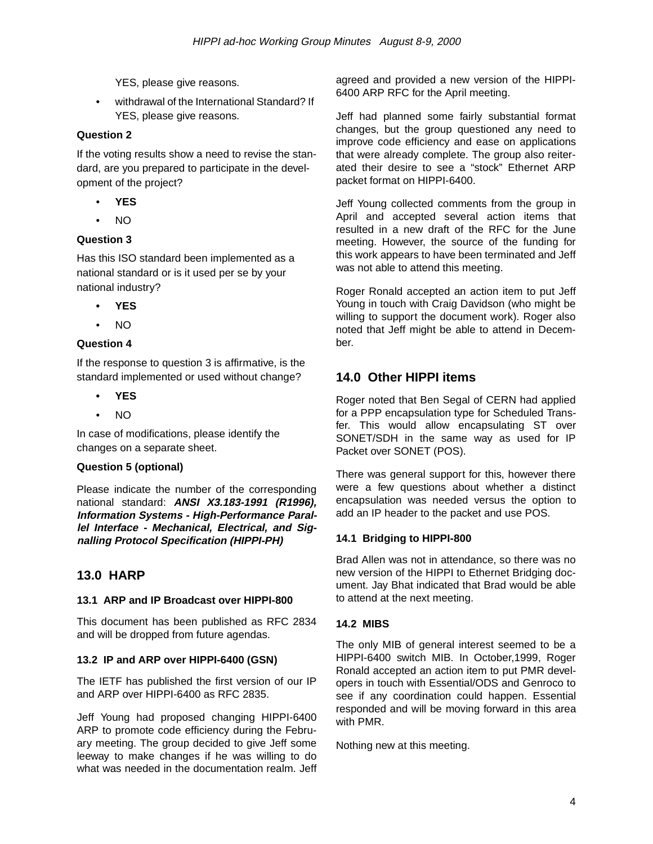YES, please give reasons.

• withdrawal of the International Standard? If YES, please give reasons.

### **Question 2**

If the voting results show a need to revise the standard, are you prepared to participate in the development of the project?

- **YES**
- NO

### **Question 3**

Has this ISO standard been implemented as a national standard or is it used per se by your national industry?

- **YES**
- NO

### **Question 4**

If the response to question 3 is affirmative, is the standard implemented or used without change?

- **YES**
- NO

In case of modifications, please identify the changes on a separate sheet.

### **Question 5 (optional)**

Please indicate the number of the corresponding national standard: **ANSI X3.183-1991 (R1996), Information Systems - High-Performance Parallel Interface - Mechanical, Electrical, and Signalling Protocol Specification (HIPPI-PH)**

### **13.0 HARP**

### **13.1 ARP and IP Broadcast over HIPPI-800**

This document has been published as RFC 2834 and will be dropped from future agendas.

### **13.2 IP and ARP over HIPPI-6400 (GSN)**

The IETF has published the first version of our IP and ARP over HIPPI-6400 as RFC 2835.

Jeff Young had proposed changing HIPPI-6400 ARP to promote code efficiency during the February meeting. The group decided to give Jeff some leeway to make changes if he was willing to do what was needed in the documentation realm. Jeff agreed and provided a new version of the HIPPI-6400 ARP RFC for the April meeting.

Jeff had planned some fairly substantial format changes, but the group questioned any need to improve code efficiency and ease on applications that were already complete. The group also reiterated their desire to see a "stock" Ethernet ARP packet format on HIPPI-6400.

Jeff Young collected comments from the group in April and accepted several action items that resulted in a new draft of the RFC for the June meeting. However, the source of the funding for this work appears to have been terminated and Jeff was not able to attend this meeting.

Roger Ronald accepted an action item to put Jeff Young in touch with Craig Davidson (who might be willing to support the document work). Roger also noted that Jeff might be able to attend in December.

# **14.0 Other HIPPI items**

Roger noted that Ben Segal of CERN had applied for a PPP encapsulation type for Scheduled Transfer. This would allow encapsulating ST over SONET/SDH in the same way as used for IP Packet over SONET (POS).

There was general support for this, however there were a few questions about whether a distinct encapsulation was needed versus the option to add an IP header to the packet and use POS.

### **14.1 Bridging to HIPPI-800**

Brad Allen was not in attendance, so there was no new version of the HIPPI to Ethernet Bridging document. Jay Bhat indicated that Brad would be able to attend at the next meeting.

### **14.2 MIBS**

The only MIB of general interest seemed to be a HIPPI-6400 switch MIB. In October,1999, Roger Ronald accepted an action item to put PMR developers in touch with Essential/ODS and Genroco to see if any coordination could happen. Essential responded and will be moving forward in this area with PMR.

Nothing new at this meeting.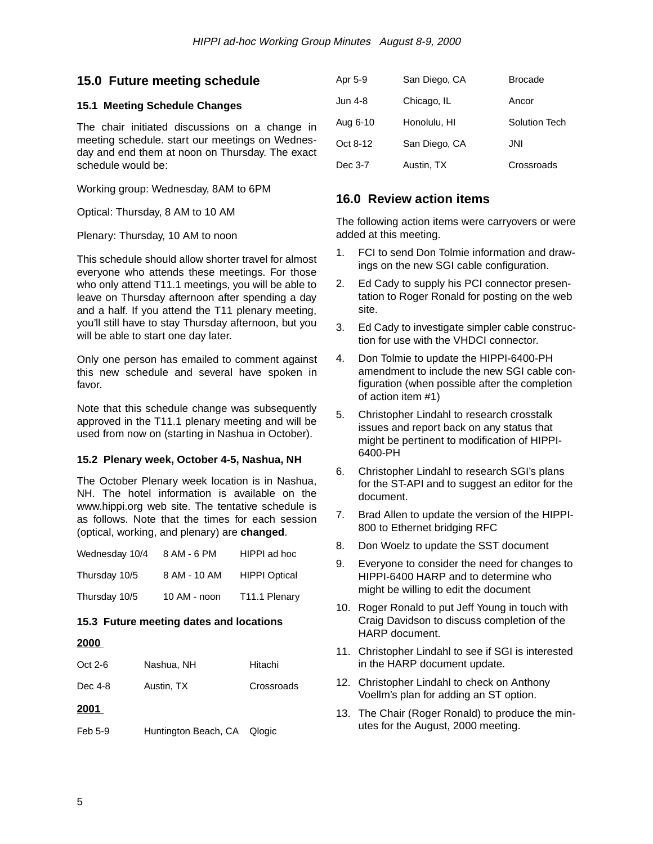### **15.0 Future meeting schedule**

#### **15.1 Meeting Schedule Changes**

The chair initiated discussions on a change in meeting schedule. start our meetings on Wednesday and end them at noon on Thursday. The exact schedule would be:

Working group: Wednesday, 8AM to 6PM

Optical: Thursday, 8 AM to 10 AM

Plenary: Thursday, 10 AM to noon

This schedule should allow shorter travel for almost everyone who attends these meetings. For those who only attend T11.1 meetings, you will be able to leave on Thursday afternoon after spending a day and a half. If you attend the T11 plenary meeting, you'll still have to stay Thursday afternoon, but you will be able to start one day later.

Only one person has emailed to comment against this new schedule and several have spoken in favor.

Note that this schedule change was subsequently approved in the T11.1 plenary meeting and will be used from now on (starting in Nashua in October).

### **15.2 Plenary week, October 4-5, Nashua, NH**

The October Plenary week location is in Nashua, NH. The hotel information is available on the www.hippi.org web site. The tentative schedule is as follows. Note that the times for each session (optical, working, and plenary) are **changed**.

| Wednesday 10/4 | 8 AM - 6 PM  | HIPPI ad hoc              |
|----------------|--------------|---------------------------|
| Thursday 10/5  | 8 AM - 10 AM | <b>HIPPI Optical</b>      |
| Thursday 10/5  | 10 AM - noon | T <sub>11.1</sub> Plenary |

### **15.3 Future meeting dates and locations**

#### **2000**

| $Oct 2-6$ | Nashua, NH           | Hitachi    |
|-----------|----------------------|------------|
| Dec 4-8   | Austin, TX           | Crossroads |
| 2001      |                      |            |
| Feb 5-9   | Huntington Beach, CA | Qlogic     |

| Apr 5-9  | San Diego, CA | <b>Brocade</b> |
|----------|---------------|----------------|
| Jun 4-8  | Chicago, IL   | Ancor          |
| Aug 6-10 | Honolulu, HI  | Solution Tech  |
| Oct 8-12 | San Diego, CA | JNI            |
| Dec 3-7  | Austin, TX    | Crossroads     |

### **16.0 Review action items**

The following action items were carryovers or were added at this meeting.

- 1. FCI to send Don Tolmie information and drawings on the new SGI cable configuration.
- 2. Ed Cady to supply his PCI connector presentation to Roger Ronald for posting on the web site.
- 3. Ed Cady to investigate simpler cable construction for use with the VHDCI connector.
- 4. Don Tolmie to update the HIPPI-6400-PH amendment to include the new SGI cable configuration (when possible after the completion of action item #1)
- 5. Christopher Lindahl to research crosstalk issues and report back on any status that might be pertinent to modification of HIPPI-6400-PH
- 6. Christopher Lindahl to research SGI's plans for the ST-API and to suggest an editor for the document.
- 7. Brad Allen to update the version of the HIPPI-800 to Ethernet bridging RFC
- 8. Don Woelz to update the SST document
- 9. Everyone to consider the need for changes to HIPPI-6400 HARP and to determine who might be willing to edit the document
- 10. Roger Ronald to put Jeff Young in touch with Craig Davidson to discuss completion of the HARP document.
- 11. Christopher Lindahl to see if SGI is interested in the HARP document update.
- 12. Christopher Lindahl to check on Anthony Voellm's plan for adding an ST option.
- 13. The Chair (Roger Ronald) to produce the minutes for the August, 2000 meeting.